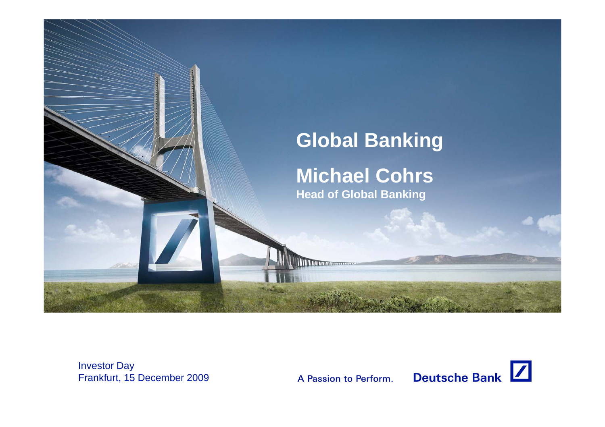

Investor Day Frankfurt, 15 December 2009

A Passion to Perform.

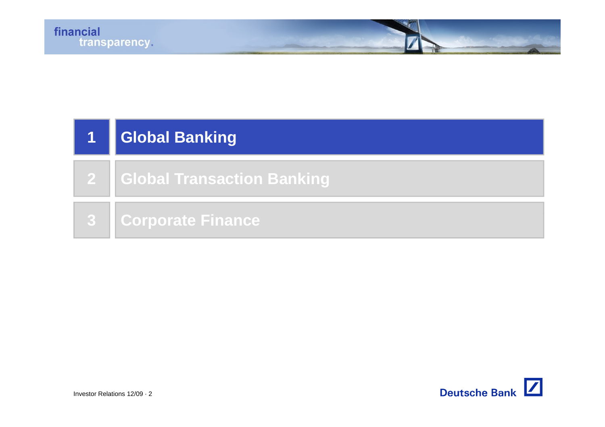| $\mathbf{1}$ | <b>Global Banking</b>        |
|--------------|------------------------------|
|              | 2 Global Transaction Banking |
|              | <b>3 Corporate Finance</b>   |

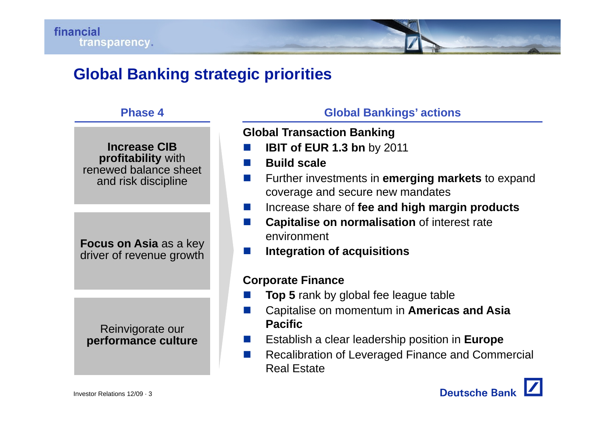# **Global Banking strategic priorities**

#### **Phase 4ase**

**Increase CIB profitability** with renewed balance sheet and risk discipline

**Integration of acquisitions**<br>driver of revenue growth

Reinvigorate our **performance culture**

**Global B ankings' actio n s G oba <sup>a</sup> gs act <sup>o</sup>** 

**Global Transaction Banking**

- $\mathbb{R}^2$ **IBIT of EUR 1.3 bn** by 2011
- $\mathbb{R}^n$ **Build scale**
- **COL**  Further investments in **emerging markets** to expand coverage and secure new mandates
- $\sim$ **g** Increase share of fee and high margin products
- **In the Capitalise on normalisation** of interest rate environment
- III

#### **Corporate Finance**

- $\mathcal{O}(\mathbb{R}^d)$ **Top 5** rank by global fee league table
- **COL**  Capitalise on momentum in **Americas and Asia Pacific**
- Establish a clear leadership position in **Europe**
- **College Recalibration of Leveraged Finance and Commercial** Real Estate

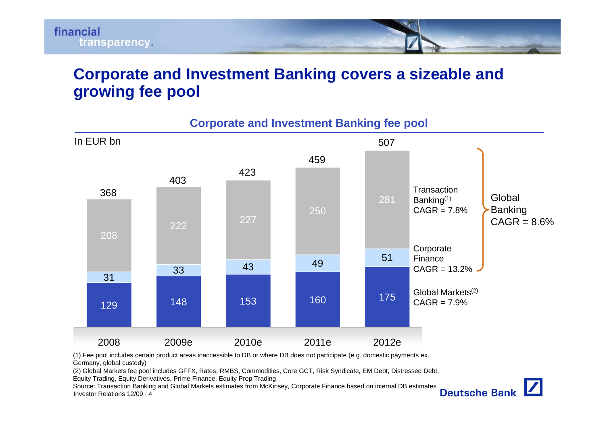

## **Corporate and Investment Banking covers a sizeable and growing fee pool**



**Corporate and Investment Banking fee pool**

(1) Fee pool includes certain product areas inaccessible to DB or where DB does not participate (e.g. domestic payments ex. Germany, global custody)

(2) Global Markets fee pool includes GFFX, Rates, RMBS, Commodities, Core GCT, Risk Syndicate, EM Debt, Distressed Debt, Equity Trading, Equity Derivatives, Prime Finance, Equity Prop Trading

Investor Relations 12/09 · 4Source: Transaction Banking and Global Markets estimates from McKinsey, Corporate Finance based on internal DB estimates

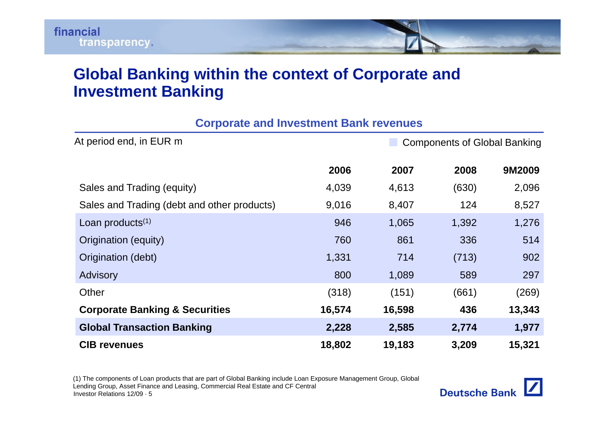# **Global Banking within the context of Corporate and Investment Banking**

| <b>Corporate and Investment Bank revenues</b> |        |        |                                     |        |  |  |
|-----------------------------------------------|--------|--------|-------------------------------------|--------|--|--|
| At period end, in EUR m                       |        |        | <b>Components of Global Banking</b> |        |  |  |
|                                               | 2006   | 2007   | 2008                                | 9M2009 |  |  |
| Sales and Trading (equity)                    | 4,039  | 4,613  | (630)                               | 2,096  |  |  |
| Sales and Trading (debt and other products)   | 9,016  | 8,407  | 124                                 | 8,527  |  |  |
| Loan products $(1)$                           | 946    | 1,065  | 1,392                               | 1,276  |  |  |
| Origination (equity)                          | 760    | 861    | 336                                 | 514    |  |  |
| Origination (debt)                            | 1,331  | 714    | (713)                               | 902    |  |  |
| Advisory                                      | 800    | 1,089  | 589                                 | 297    |  |  |
| Other                                         | (318)  | (151)  | (661)                               | (269)  |  |  |
| <b>Corporate Banking &amp; Securities</b>     | 16,574 | 16,598 | 436                                 | 13,343 |  |  |
| <b>Global Transaction Banking</b>             | 2,228  | 2,585  | 2,774                               | 1,977  |  |  |
| <b>CIB revenues</b>                           | 18,802 | 19,183 | 3,209                               | 15,321 |  |  |

Investor Relations 12/09 · 5(1) The components of Loan products that are part of Global Banking include Loan Exposure Management Group, Global Lending Group, Asset Finance and Leasing, Commercial Real Estate and CF Central

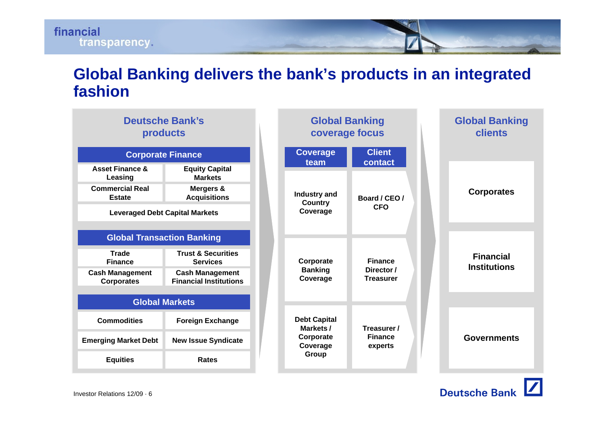

# **Global Banking delivers the bank's products in an integrated fashion**

| <b>Deutsche Bank's</b><br>products          |                                                         |           | <b>Global Banking</b><br>coverage focus         |                                |                   | <b>Global Banking</b><br><b>clients</b> |
|---------------------------------------------|---------------------------------------------------------|-----------|-------------------------------------------------|--------------------------------|-------------------|-----------------------------------------|
| <b>Corporate Finance</b>                    |                                                         |           | <b>Coverage</b>                                 | <b>Client</b><br>contact       |                   |                                         |
| <b>Asset Finance &amp;</b><br>Leasing       | <b>Equity Capital</b><br><b>Markets</b>                 |           | team                                            |                                |                   |                                         |
| <b>Commercial Real</b><br><b>Estate</b>     | Mergers &<br><b>Acquisitions</b>                        |           | Industry and<br>Board / CEO /<br><b>Country</b> |                                | <b>Corporates</b> |                                         |
| <b>Leveraged Debt Capital Markets</b>       |                                                         |           | Coverage                                        | <b>CFO</b>                     |                   |                                         |
| <b>Global Transaction Banking</b>           |                                                         |           |                                                 |                                |                   |                                         |
| <b>Trade</b><br><b>Finance</b>              | <b>Trust &amp; Securities</b><br><b>Services</b>        | Corporate |                                                 | <b>Finance</b>                 |                   | <b>Financial</b><br><b>Institutions</b> |
| <b>Cash Management</b><br><b>Corporates</b> | <b>Cash Management</b><br><b>Financial Institutions</b> |           | <b>Banking</b><br>Coverage                      | Director /<br><b>Treasurer</b> |                   |                                         |
| <b>Global Markets</b>                       |                                                         |           |                                                 |                                |                   |                                         |
| <b>Commodities</b>                          | <b>Foreign Exchange</b>                                 |           | <b>Debt Capital</b><br>Markets /                | Treasurer /                    |                   |                                         |
| <b>Emerging Market Debt</b>                 | <b>New Issue Syndicate</b>                              |           | <b>Finance</b><br>Corporate<br>Coverage         | experts                        |                   | <b>Governments</b>                      |
| <b>Equities</b>                             | <b>Rates</b>                                            |           | Group                                           |                                |                   |                                         |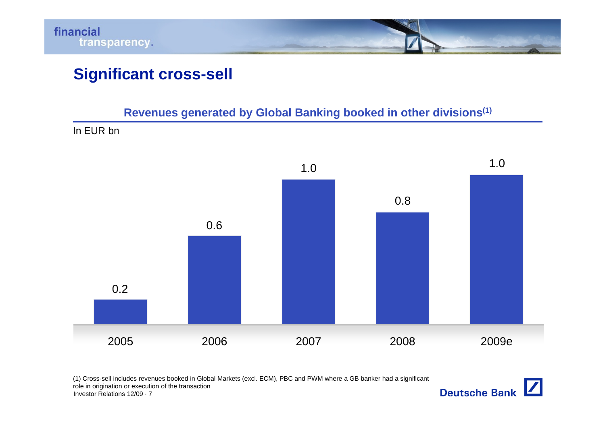

# **Significant cross-sell**

Revenues generated by Global Banking booked in other divisions<sup>(1)</sup>

In EUR bn



(1) Cross-sell includes revenues booked in Global Markets (excl. ECM), PBC and PWM where a GB banker had a significant role in origination or execution of the transaction

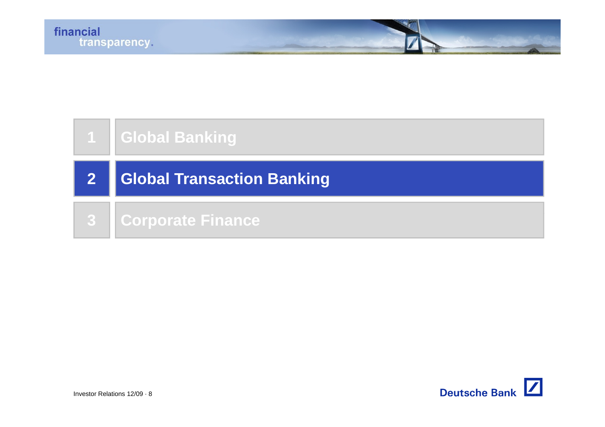|    | <b>Global Banking</b>             |
|----|-----------------------------------|
| 2  | <b>Global Transaction Banking</b> |
| 87 | Corporate Finance                 |

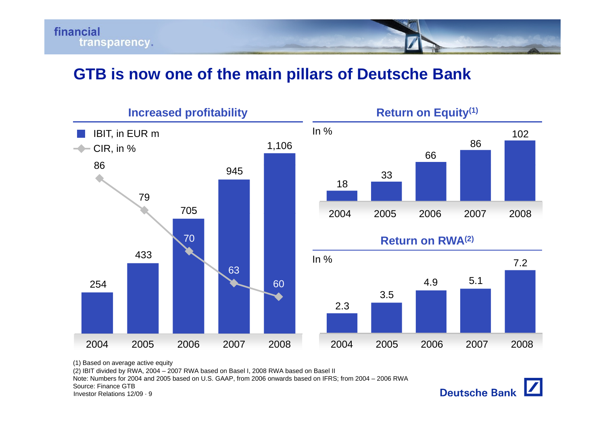

### **GTB is now one of the main pillars of Deutsche Bank**



(1) Based on average active equity

(2) IBIT divided by RWA, 2004 – 2007 RWA based on Basel I, 2008 RWA based on Basel II

Note: Numbers for 2004 and 2005 based on U.S. GAAP, from 2006 onwards based on IFRS; from 2004 – 2006 RWA

Source: Finance GTB

Investor Relations 12/09 · 9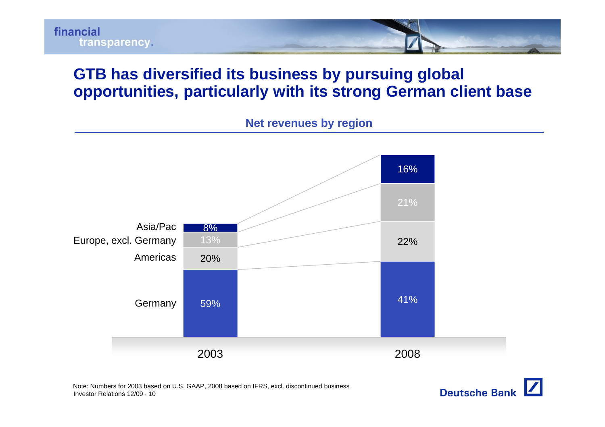

## **GTB has diversified its business by pursuing global opportunities, particularly with its strong German client base**

**Net revenues by region**



Investor Relations 12/09 · 10Note: Numbers for 2003 based on U.S. GAAP, 2008 based on IFRS, excl. discontinued business

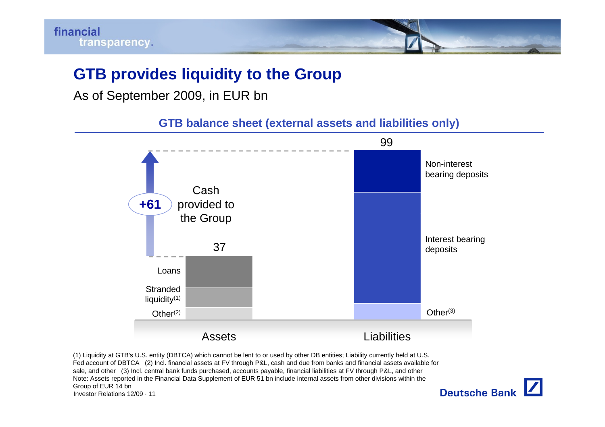# **GTB provides liquidity to the Group**

As of September 2009, in EUR bn

**GTB balance sheet (external assets and liabilities only)**



Investor Relations 12/09 · 11Group of EUR 14 bn

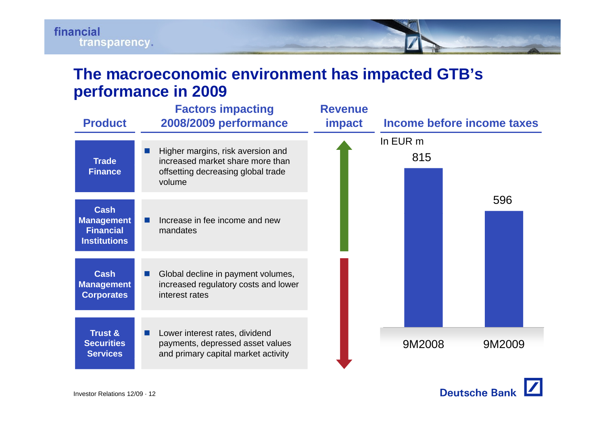

## **The macroeconomic environment has impacted GTB's performance in 2009**

| <b>Product</b>                                                              | <b>Factors impacting</b><br>2008/2009 performance                                                                     | <b>Revenue</b><br><b>impact</b> | Income before income taxes |  |
|-----------------------------------------------------------------------------|-----------------------------------------------------------------------------------------------------------------------|---------------------------------|----------------------------|--|
| <b>Trade</b><br><b>Finance</b>                                              | Higher margins, risk aversion and<br>increased market share more than<br>offsetting decreasing global trade<br>volume |                                 | In EUR m<br>815            |  |
| <b>Cash</b><br><b>Management</b><br><b>Financial</b><br><b>Institutions</b> | Increase in fee income and new<br>mandates                                                                            |                                 | 596                        |  |
| <b>Cash</b><br><b>Management</b><br><b>Corporates</b>                       | Global decline in payment volumes,<br>increased regulatory costs and lower<br>interest rates                          |                                 |                            |  |
| <b>Trust &amp;</b><br><b>Securities</b><br><b>Services</b>                  | Lower interest rates, dividend<br>payments, depressed asset values<br>and primary capital market activity             |                                 | 9M2008<br>9M2009           |  |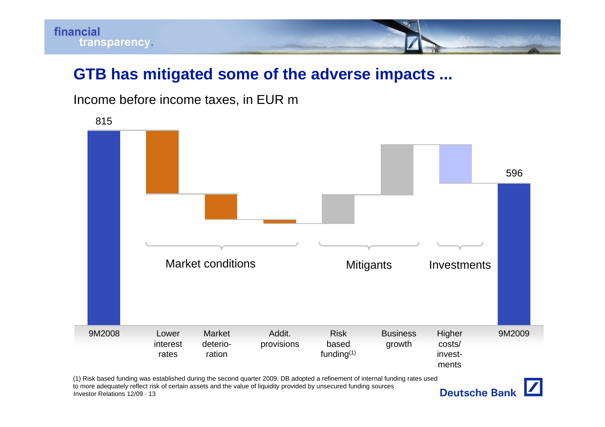

## **GTB has mitigated some of the adverse impacts ...**





Investor Relations 12/09 · 13to more adequately reflect risk of certain assets and the value of liquidity provided by unsecured funding sources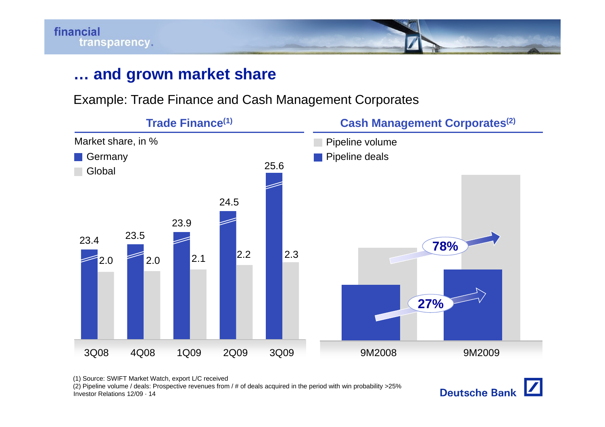

# **… and grown market share**

Example: Trade Finance and Cash Management Corporates



(1) Source: SWIFT Market Watch, export L/C received

Investor Relations 12/09 · 14(2) Pipeline volume / deals: Prospective revenues from / # of deals acquired in the period with win probability >25%

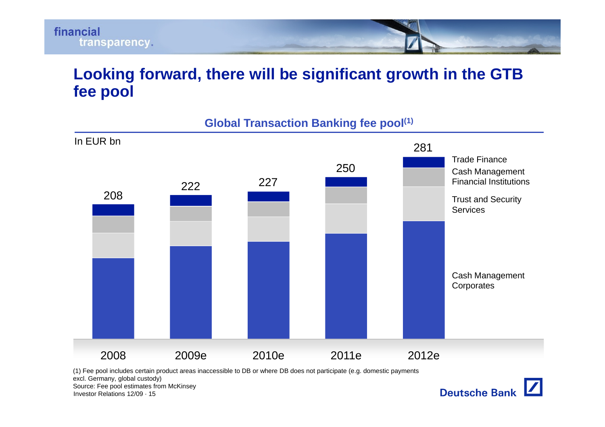

# **Looking forward, there will be significant growth in the GTB fee pool**



**Global Transaction Banking fee pool(1)**

(1) Fee pool includes certain product areas inaccessible to DB or where DB does not participate (e.g. domestic payments excl. Germany, global custody)

Source: Fee pool estimates from McKinsey

Investor Relations 12/09 · 15

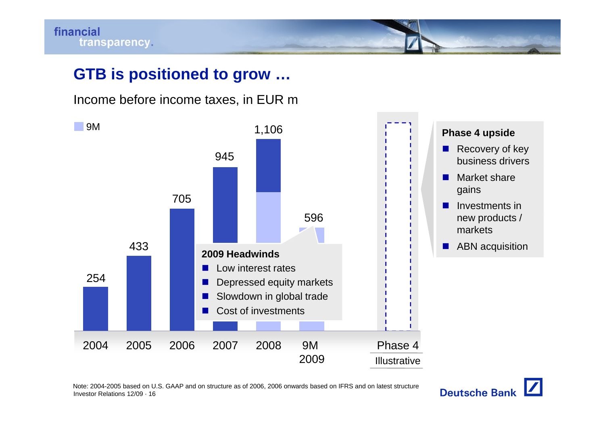# **GTB is positioned to grow …**

Income before income taxes, in EUR m



Investor Relations 12/09 · 16Note: 2004-2005 based on U.S. GAAP and on structure as of 2006, 2006 onwards based on IFRS and on latest structure

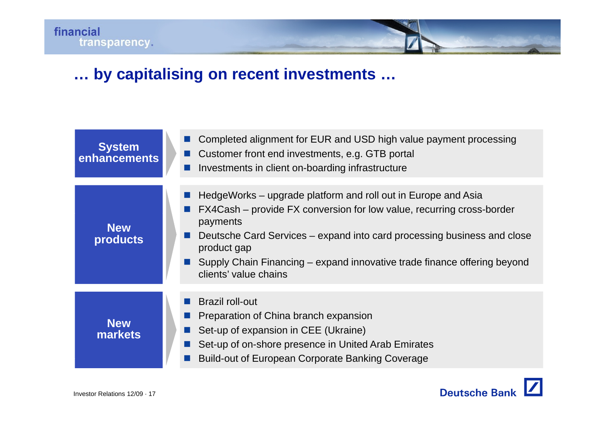# **… by capitalising on recent investments …**

| <b>System</b><br>enhancements | Completed alignment for EUR and USD high value payment processing<br>Customer front end investments, e.g. GTB portal<br>Investments in client on-boarding infrastructure                                                                                                                                                                          |
|-------------------------------|---------------------------------------------------------------------------------------------------------------------------------------------------------------------------------------------------------------------------------------------------------------------------------------------------------------------------------------------------|
| <b>New</b><br><b>products</b> | HedgeWorks – upgrade platform and roll out in Europe and Asia<br>FX4Cash – provide FX conversion for low value, recurring cross-border<br>payments<br>Deutsche Card Services – expand into card processing business and close<br>product gap<br>Supply Chain Financing – expand innovative trade finance offering beyond<br>clients' value chains |
| <b>New</b><br><b>markets</b>  | <b>Brazil roll-out</b><br>Preparation of China branch expansion<br>Set-up of expansion in CEE (Ukraine)<br>Set-up of on-shore presence in United Arab Emirates<br><b>Build-out of European Corporate Banking Coverage</b>                                                                                                                         |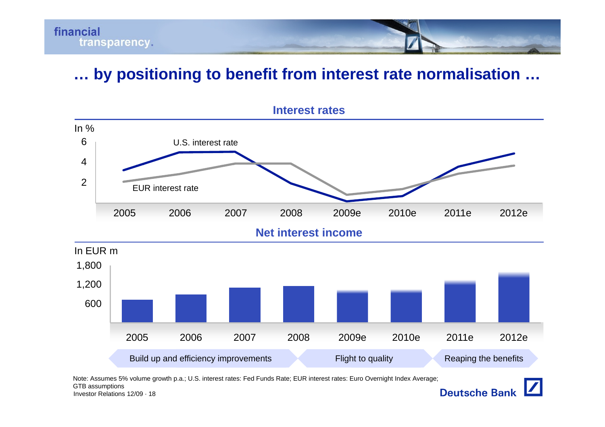

# **… by positioning to benefit from interest rate normalisation …**



Note: Assumes 5% volume growth p.a.; U.S. interest rates: Fed Funds Rate; EUR interest rates: Euro Overnight Index Average;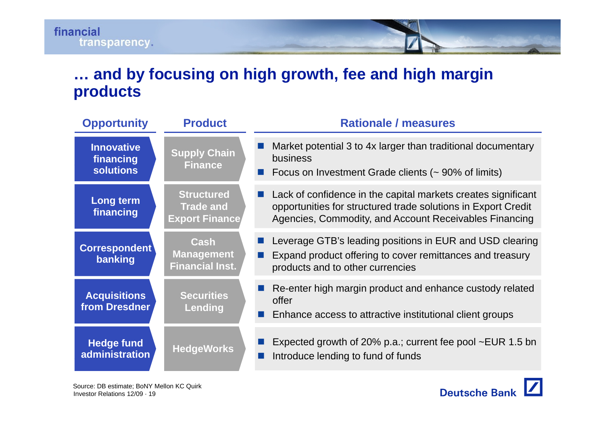# **… and by focusing on high growth, fee and high margin products**

| <b>Opportunity</b>                                 | <b>Product</b>                                                 | <b>Rationale / measures</b>                                                                                                                                                              |
|----------------------------------------------------|----------------------------------------------------------------|------------------------------------------------------------------------------------------------------------------------------------------------------------------------------------------|
| <b>Innovative</b><br>financing<br><b>solutions</b> | <b>Supply Chain</b><br><b>Finance</b>                          | Market potential 3 to 4x larger than traditional documentary<br>business<br>Focus on Investment Grade clients (~ 90% of limits)                                                          |
| Long term<br>financing                             | <b>Structured</b><br><b>Trade and</b><br><b>Export Finance</b> | Lack of confidence in the capital markets creates significant<br>opportunities for structured trade solutions in Export Credit<br>Agencies, Commodity, and Account Receivables Financing |
| Correspondent<br>banking                           | Cash<br><b>Management</b><br><b>Financial Inst.</b>            | Leverage GTB's leading positions in EUR and USD clearing<br>Expand product offering to cover remittances and treasury<br>products and to other currencies                                |
| <b>Acquisitions</b><br>from Dresdner               | <b>Securities</b><br>Lending                                   | Re-enter high margin product and enhance custody related<br>offer<br>Enhance access to attractive institutional client groups                                                            |
| <b>Hedge fund</b><br>administration                | <b>HedgeWorks</b>                                              | Expected growth of 20% p.a.; current fee pool ~EUR 1.5 bn<br>Introduce lending to fund of funds                                                                                          |

Investor Relations 12/09 · 19Source: DB estimate; BoNY Mellon KC Quirk

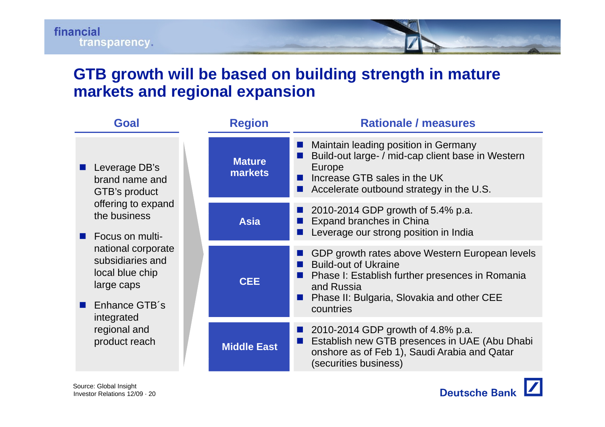## **GTB growth will be based on building strength in mature markets and regional expansion**

| <b>Goal</b>                                                                              | <b>Region</b>            | <b>Rationale / measures</b>                                                                                                                                                                               |
|------------------------------------------------------------------------------------------|--------------------------|-----------------------------------------------------------------------------------------------------------------------------------------------------------------------------------------------------------|
| Leverage DB's<br>brand name and<br>GTB's product                                         | <b>Mature</b><br>markets | Maintain leading position in Germany<br>Build-out large- / mid-cap client base in Western<br>Europe<br>Increase GTB sales in the UK<br>Accelerate outbound strategy in the U.S.                           |
| offering to expand<br>the business<br><b>Focus on multi-</b>                             | <b>Asia</b>              | 2010-2014 GDP growth of 5.4% p.a.<br><b>Expand branches in China</b><br>Leverage our strong position in India                                                                                             |
| national corporate<br>subsidiaries and<br>local blue chip<br>large caps<br>Enhance GTB's | <b>CEE</b>               | GDP growth rates above Western European levels<br><b>Build-out of Ukraine</b><br>Phase I: Establish further presences in Romania<br>and Russia<br>Phase II: Bulgaria, Slovakia and other CEE<br>countries |
| integrated<br>regional and<br>product reach                                              | <b>Middle East</b>       | ■ 2010-2014 GDP growth of 4.8% p.a.<br>Establish new GTB presences in UAE (Abu Dhabi<br>onshore as of Feb 1), Saudi Arabia and Qatar<br>(securities business)                                             |

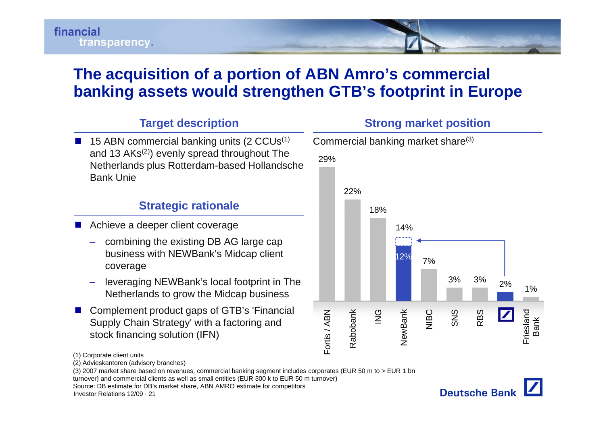# financial transparency.

# **The acquisition of a portion of ABN Amro's commercial banking assets would strengthen GTB's footprint in Europe**

### **Target description**

 $\blacksquare$  15 ABN commercial banking units (2 CCUs<sup>(1)</sup> and 13 AKs<sup>(2)</sup>) evenly spread throughout The Netherlands plus Rotterdam-based Hollandsche<br>Bank Unie

### **Strategic rationale** 18%

- **Achieve a deeper client coverage 14%** and 14%
	- – combining the existing DB AG large cap business with NEWBank's Midcap client coverage
	- leveraging NEWBank's local footprint in The Netherlands to grow the Midcap business
- Complement product gaps of GTB's 'Financial Supply Chain Strategy' with a factoring and stock financing solution (IFN)



(2) Advieskantoren (advisory branches)

turnover) and commercial clients as well as small entities (EUR 300 k to EUR 50 m turnover)

Source: DB estimate for DB's market share, ABN AMRO estimate for competitors

Investor Relations 12/09 · 21



<sup>(1)</sup> Corporate client units

<sup>(3) 2007</sup> market share based on revenues, commercial banking segment includes corporates (EUR 50 m to > EUR 1 bn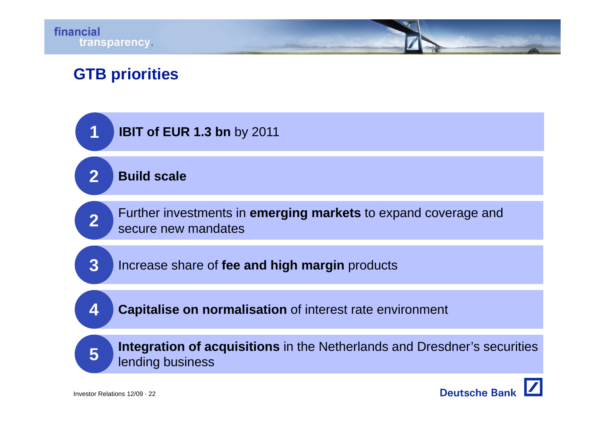# **GTB priorities**

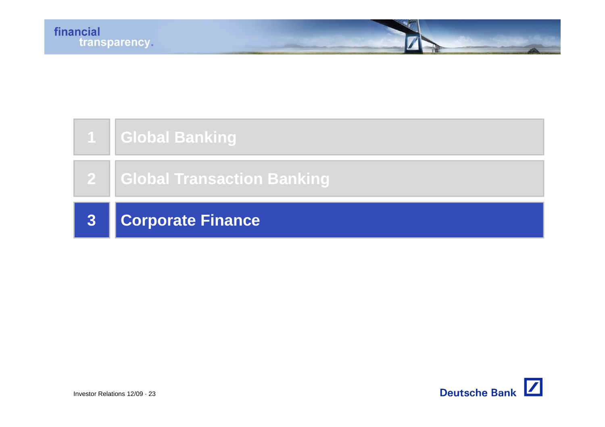

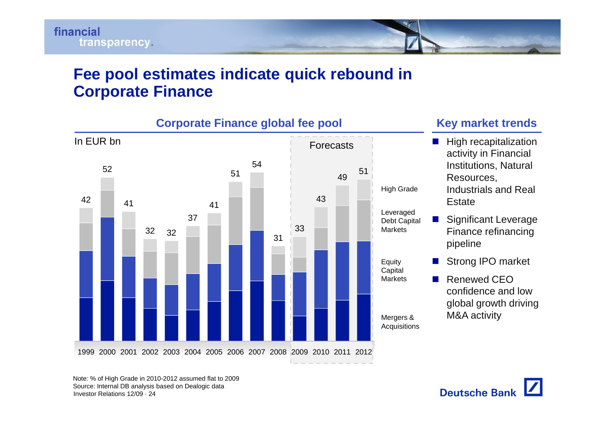

## **Fee pool estimates indicate quick rebound in Corporate Finance**



Investor Relations 12/09 · 24Note: % of High Grade in 2010-2012 assumed flat to 2009 Source: Internal DB analysis based on Dealogic data

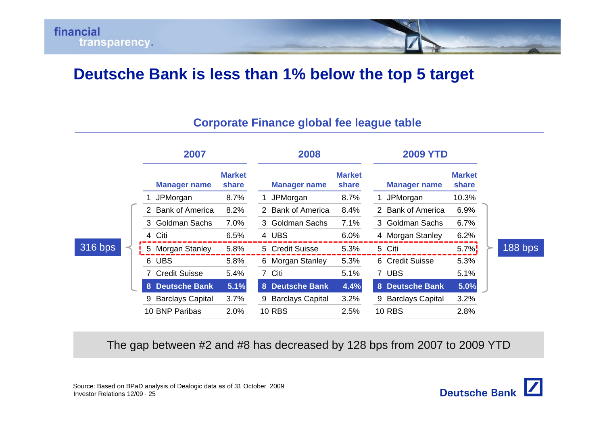# **Deutsche Bank is less than 1% below the top 5 target**

### **Corporate Finance global fee league table**

|         | 2007                                   |                        | 2008                         |                        |                     | <b>2009 YTD</b>        |         |  |
|---------|----------------------------------------|------------------------|------------------------------|------------------------|---------------------|------------------------|---------|--|
|         | <b>Manager name</b>                    | <b>Market</b><br>share | <b>Manager name</b>          | <b>Market</b><br>share | <b>Manager name</b> | <b>Market</b><br>share |         |  |
|         | JPMorgan                               | 8.7%                   | JPMorgan                     | 8.7%                   | JPMorgan            | 10.3%                  |         |  |
|         | <b>Bank of America</b><br>$\mathbf{2}$ | 8.2%                   | 2 Bank of America            | 8.4%                   | 2 Bank of America   | 6.9%                   |         |  |
|         | Goldman Sachs<br>3                     | 7.0%                   | 3 Goldman Sachs              | 7.1%                   | 3 Goldman Sachs     | 6.7%                   |         |  |
|         | Citi<br>4                              | 6.5%                   | 4 UBS                        | 6.0%                   | 4 Morgan Stanley    | 6.2%                   |         |  |
| 316 bps | 5 Morgan Stanley                       | 5.8%                   | 5 Credit Suisse              | 5.3%                   | 5 Citi              | $5.7\%$                | 188 bps |  |
|         | 6<br><b>UBS</b>                        | 5.8%                   | 6 Morgan Stanley             | 5.3%                   | 6 Credit Suisse     | 5.3%                   |         |  |
|         | <b>Credit Suisse</b>                   | 5.4%                   | 7 Citi                       | 5.1%                   | 7 UBS               | 5.1%                   |         |  |
|         | <b>Deutsche Bank</b><br>8              | 5.1%                   | 8 Deutsche Bank              | 4.4%                   | 8 Deutsche Bank     | 5.0%                   |         |  |
|         | <b>Barclays Capital</b><br>9           | 3.7%                   | <b>Barclays Capital</b><br>9 | 3.2%                   | 9 Barclays Capital  | 3.2%                   |         |  |
|         | 10 BNP Paribas                         | 2.0%                   | <b>10 RBS</b>                | 2.5%                   | <b>10 RBS</b>       | 2.8%                   |         |  |

The gap between #2 and #8 has decreased by 128 bps from 2007 to 2009 YTD  $10$  BNP Paribas  $2.0\%$   $10$  RBS  $2.5\%$   $10$  RBS  $2.8\%$ <br>  $2.8\%$ <br>  $2.8\%$ <br>  $2.8\%$ <br>  $2.8\%$ <br>  $2.8\%$ <br>  $2.8\%$ <br>  $2.8\%$ <br>  $2.8\%$ <br>  $2.8\%$ <br>  $2.8\%$ <br>  $2.8\%$ <br>  $2.8\%$ <br>  $2.8\%$ <br>  $2.8\%$ <br>  $2.8\%$ <br>  $2.8\%$ <br>  $2.8\%$ <br>  $2.8\%$ <br>

Source: Based on BPaD analysis of Dealogic data as of 31 October 2009

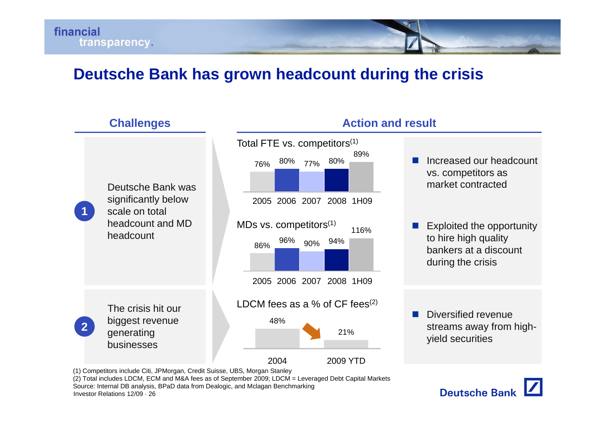# **Deutsche Bank has grown headcount during the crisis**

### **Challenges Action and result**



(1) Competitors include Citi, JPMorgan, Credit Suisse, UBS, Morgan Stanley

(2) Total includes LDCM, ECM and M&A fees as of September 2009; LDCM = Leveraged Debt Capital Markets Source: Internal DB analysis, BPaD data from Dealogic, and Mclagan Benchmarking

Investor Relations 12/09 · 26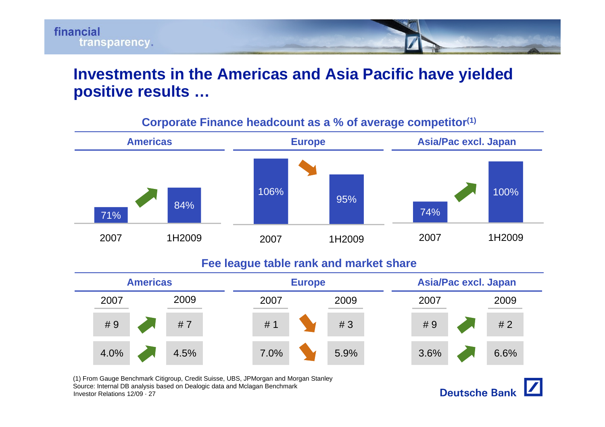

## **Investments in the Americas and Asia Pacific have yielded positive results …**



#### **Corporate Finance headcount as a % of average competito r(1)**

#### **Fee league table rank and market share**



Investor Relations 12/09 · 27(1) From Gauge Benchmark Citigroup, Credit Suisse, UBS, JPMorgan and Morgan Stanley Source: Internal DB analysis based on Dealogic data and Mclagan Benchmark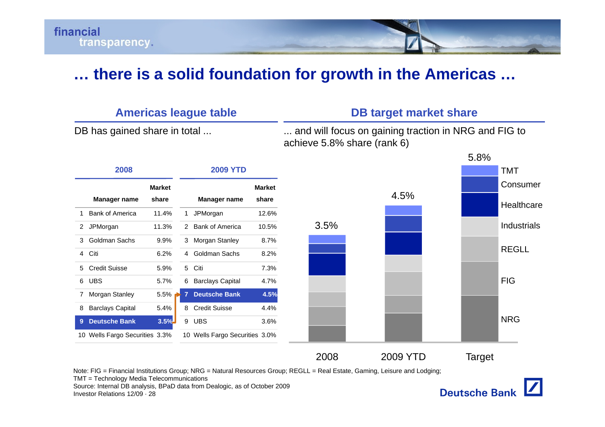

### **… there is a solid foundation for growth in the Americas …**



Investor Relations 12/09 · 28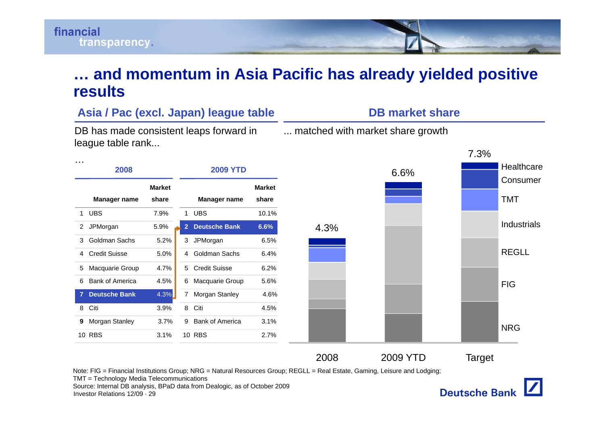

### **… and momentum in Asia Pacific has already yielded positive results**

#### **A <sup>s</sup> <sup>a</sup> / ac (e <sup>c</sup> Japa ) eague tab <sup>e</sup> ia / Pac x cl. n) league tableDB m**

DB has made consistent leaps forward in league table rank...

## **a et s a e rket hr**

... matched with market share growth



Note: FIG = Financial Institutions Group; NRG = Natural Resources Group; REGLL = Real Estate, Gaming, Leisure and Lodging;

TMT = Technology Media Telecommunications

Investor Relations 12/09 · 29Source: Internal DB analysis, BPaD data from Dealogic, as of October 2009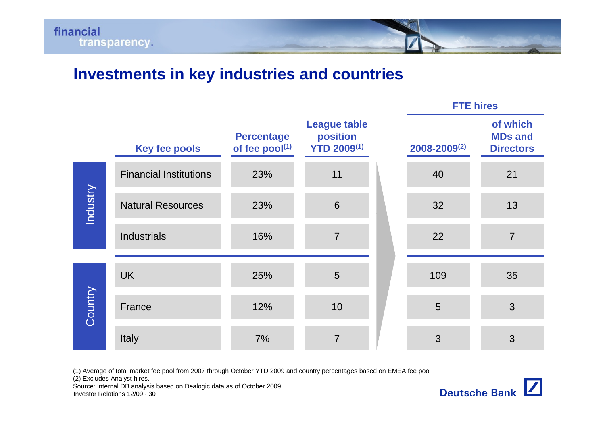

# **Investments in key industries and countries**

|                 | <b>Key fee pools</b>          | <b>Percentage</b><br>of fee pool(1) | <b>League table</b><br>position<br><b>YTD 2009(1)</b> | 2008-2009(2) | of which<br><b>MDs and</b><br><b>Directors</b> |
|-----------------|-------------------------------|-------------------------------------|-------------------------------------------------------|--------------|------------------------------------------------|
|                 | <b>Financial Institutions</b> | 23%                                 | 11                                                    | 40           | 21                                             |
| <b>Industry</b> | <b>Natural Resources</b>      | 23%                                 | 6                                                     | 32           | 13                                             |
|                 | <b>Industrials</b>            | 16%                                 | $\overline{7}$                                        | 22           | $\overline{7}$                                 |
|                 | <b>UK</b>                     | 25%                                 | 5                                                     | 109          | 35                                             |
| Country         | France                        | 12%                                 | 10                                                    | 5            | 3                                              |
|                 | Italy                         | 7%                                  | $\overline{7}$                                        | 3            | 3                                              |

(1) Average of total market fee pool from 2007 through October YTD 2009 and country percentages based on EMEA fee pool

(2) Excludes Analyst hires.

Investor Relations 12/09 · 30Source: Internal DB analysis based on Dealogic data as of October 2009



**FTE hires**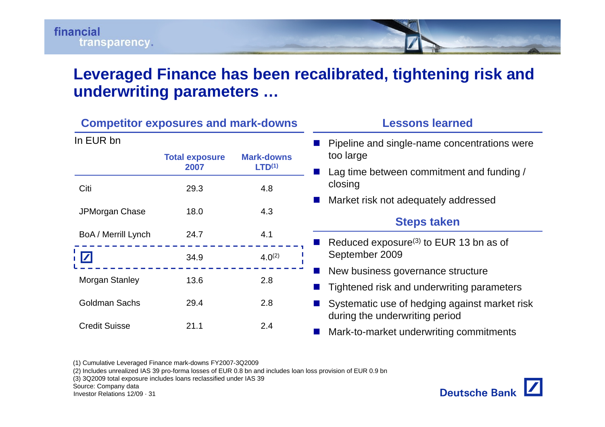# **Leveraged Finance has been recalibrated, tightening risk and underwriting parameters …**

|                      | <b>Competitor exposures and mark-downs</b> |                                         | <b>Lessons learned</b>                                                                                 |
|----------------------|--------------------------------------------|-----------------------------------------|--------------------------------------------------------------------------------------------------------|
| In EUR bn            | <b>Total exposure</b><br>2007              | <b>Mark-downs</b><br>LTD <sup>(1)</sup> | Pipeline and single-name concentrations were<br>too large<br>Lag time between commitment and funding / |
| Citi                 | 29.3                                       | 4.8                                     | closing<br>Market risk not adequately addressed                                                        |
| JPMorgan Chase       | 18.0                                       | 4.3                                     | <b>Steps taken</b>                                                                                     |
| BoA / Merrill Lynch  | 24.7<br>34.9                               | 4.1<br>$4.0^{(2)}$                      | Reduced exposure <sup>(3)</sup> to EUR 13 bn as of<br>September 2009                                   |
| Morgan Stanley       | 13.6                                       | 2.8                                     | New business governance structure<br>Tightened risk and underwriting parameters                        |
| <b>Goldman Sachs</b> | 29.4                                       | 2.8                                     | Systematic use of hedging against market risk<br>during the underwriting period                        |
| <b>Credit Suisse</b> | 21.1                                       | 2.4                                     | Mark-to-market underwriting commitments                                                                |

(1) Cumulative Leveraged Finance mark-downs FY2007-3Q2009

(2) Includes unrealized IAS 39 pro-forma losses of EUR 0.8 bn and includes loan loss provision of EUR 0.9 bn

(3) 3Q2009 total exposure includes loans reclassified under IAS 39

Source: Company data

Investor Relations 12/09 · 31

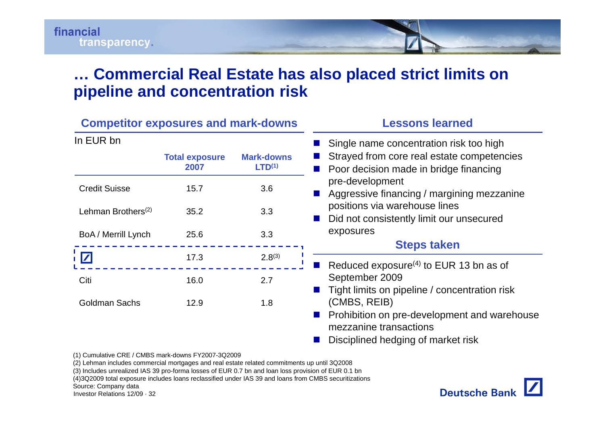## **… Commercial Real Estate has also placed strict limits on pipeline and concentration risk**

| <b>Competitor exposures and mark-downs</b> |                               |                                         | <b>Lessons learned</b>                                                                                                          |  |  |
|--------------------------------------------|-------------------------------|-----------------------------------------|---------------------------------------------------------------------------------------------------------------------------------|--|--|
| In EUR bn                                  | <b>Total exposure</b><br>2007 | <b>Mark-downs</b><br>LTD <sup>(1)</sup> | Single name concentration risk too high<br>Strayed from core real estate competencies<br>Poor decision made in bridge financing |  |  |
| <b>Credit Suisse</b>                       | 15.7                          | 3.6                                     | pre-development<br>Aggressive financing / margining mezzanine                                                                   |  |  |
| Lehman Brothers <sup>(2)</sup>             | 35.2                          | 3.3                                     | positions via warehouse lines<br>Did not consistently limit our unsecured                                                       |  |  |
| BoA / Merrill Lynch                        | 25.6                          | 3.3                                     | exposures<br><b>Steps taken</b>                                                                                                 |  |  |
|                                            | 17.3                          | $2.8^{(3)}$                             | Reduced exposure <sup>(4)</sup> to EUR 13 bn as of                                                                              |  |  |
| Citi                                       | 16.0                          | 2.7                                     | September 2009<br>Tight limits on pipeline / concentration risk                                                                 |  |  |
| <b>Goldman Sachs</b>                       | 12.9                          | 1.8                                     | (CMBS, REIB)<br>Prohibition on pre-development and warehouse<br>mezzanine transactions<br>Disciplined hedging of market risk    |  |  |

(1) Cumulative CRE / CMBS mark-downs FY2007-3Q2009

(2) Lehman includes commercial mortgages and real estate related commitments up until 3Q2008

(3) Includes unrealized IAS 39 pro-forma losses of EUR 0.7 bn and loan loss provision of EUR 0.1 bn

(4)3Q2009 total exposure includes loans reclassified under IAS 39 and loans from CMBS securitizations

Source: Company data

Investor Relations 12/09 · 32

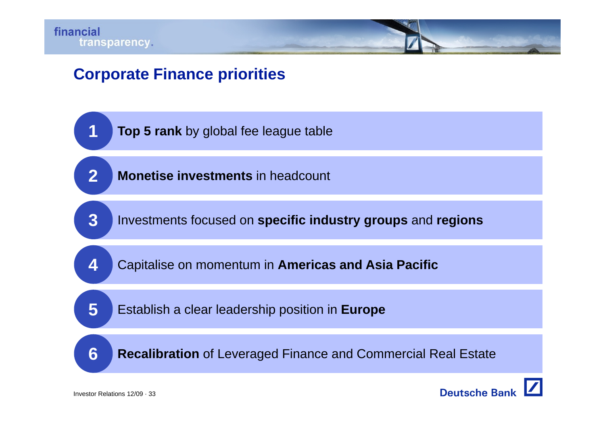

# **Corporate Finance priorities**

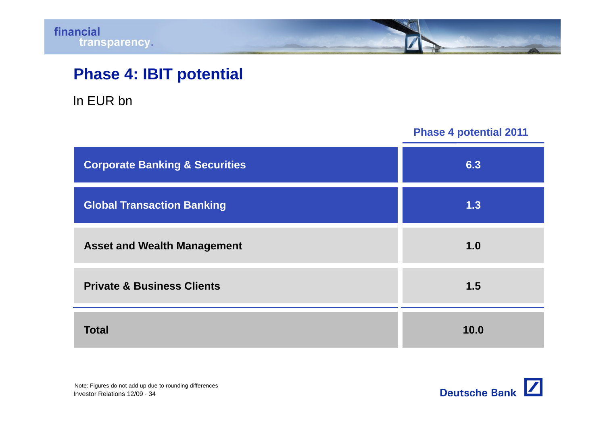# **Phase 4: IBIT potential**

In EUR bn

**Phase 4 potential 2011**

| <b>Corporate Banking &amp; Securities</b> | 6.3  |
|-------------------------------------------|------|
| <b>Global Transaction Banking</b>         | 1.3  |
| <b>Asset and Wealth Management</b>        | 1.0  |
| <b>Private &amp; Business Clients</b>     | 1.5  |
| <b>Total</b>                              | 10.0 |